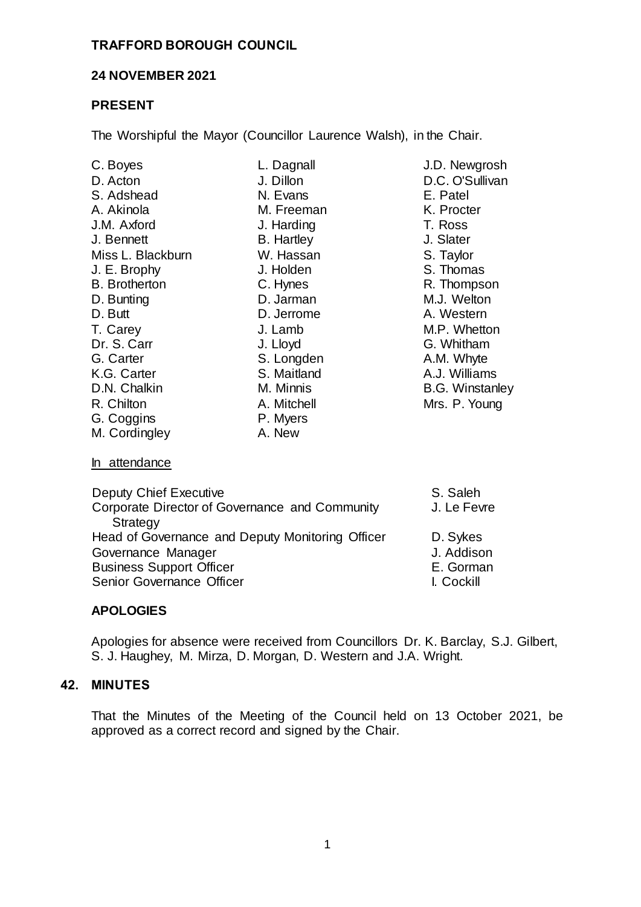#### **TRAFFORD BOROUGH COUNCIL**

## **24 NOVEMBER 2021**

## **PRESENT**

The Worshipful the Mayor (Councillor Laurence Walsh), in the Chair.

| C. Boyes                                                   | L. Dagnall        | J.D. Newgrosh          |
|------------------------------------------------------------|-------------------|------------------------|
| D. Acton                                                   | J. Dillon         | D.C. O'Sullivan        |
| S. Adshead                                                 | N. Evans          | E. Patel               |
| A. Akinola                                                 | M. Freeman        | K. Procter             |
| J.M. Axford                                                | J. Harding        | T. Ross                |
| J. Bennett                                                 | <b>B.</b> Hartley | J. Slater              |
| Miss L. Blackburn                                          | W. Hassan         | S. Taylor              |
| J. E. Brophy                                               | J. Holden         | S. Thomas              |
| <b>B.</b> Brotherton                                       | C. Hynes          | R. Thompson            |
| D. Bunting                                                 | D. Jarman         | M.J. Welton            |
| D. Butt                                                    | D. Jerrome        | A. Western             |
| T. Carey                                                   | J. Lamb           | M.P. Whetton           |
| Dr. S. Carr                                                | J. Lloyd          | G. Whitham             |
| G. Carter                                                  | S. Longden        | A.M. Whyte             |
| K.G. Carter                                                | S. Maitland       | A.J. Williams          |
| D.N. Chalkin                                               | M. Minnis         | <b>B.G. Winstanley</b> |
| R. Chilton                                                 | A. Mitchell       | Mrs. P. Young          |
| G. Coggins                                                 | P. Myers          |                        |
| M. Cordingley                                              | A. New            |                        |
| In attendance                                              |                   |                        |
| Deputy Chief Executive                                     |                   | S. Saleh               |
| Corporate Director of Governance and Community<br>Strategy |                   | J. Le Fevre            |
| Head of Governance and Deputy Monitoring Officer           |                   | D. Sykes               |
| Governance Manager                                         |                   | J. Addison             |
| <b>Business Support Officer</b>                            |                   | E. Gorman              |
| Senior Governance Officer                                  |                   | I. Cockill             |

## **APOLOGIES**

Apologies for absence were received from Councillors Dr. K. Barclay, S.J. Gilbert, S. J. Haughey, M. Mirza, D. Morgan, D. Western and J.A. Wright.

## **42. MINUTES**

That the Minutes of the Meeting of the Council held on 13 October 2021, be approved as a correct record and signed by the Chair.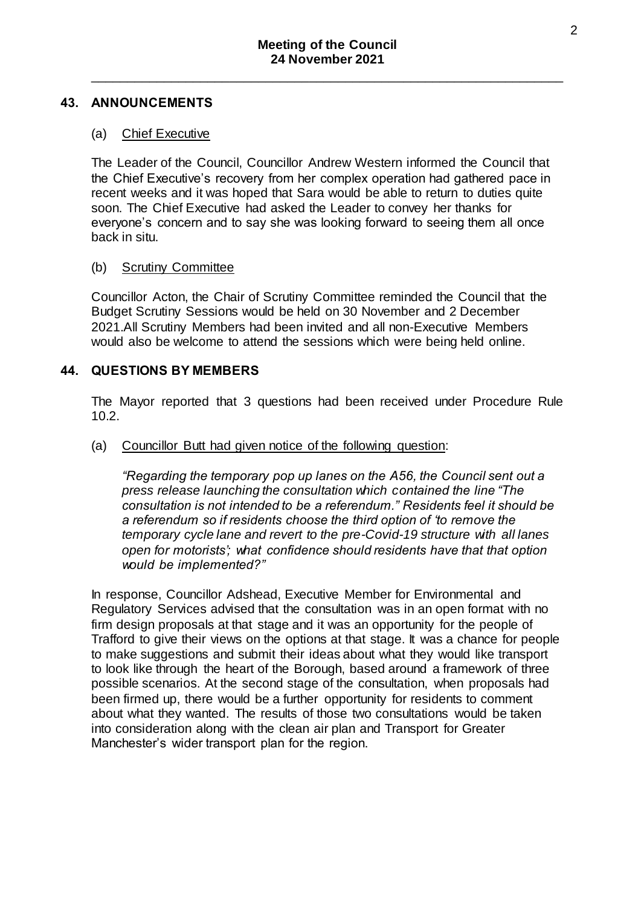#### **43. ANNOUNCEMENTS**

#### (a) Chief Executive

The Leader of the Council, Councillor Andrew Western informed the Council that the Chief Executive's recovery from her complex operation had gathered pace in recent weeks and it was hoped that Sara would be able to return to duties quite soon. The Chief Executive had asked the Leader to convey her thanks for everyone's concern and to say she was looking forward to seeing them all once back in situ.

#### (b) Scrutiny Committee

Councillor Acton, the Chair of Scrutiny Committee reminded the Council that the Budget Scrutiny Sessions would be held on 30 November and 2 December 2021.All Scrutiny Members had been invited and all non-Executive Members would also be welcome to attend the sessions which were being held online.

## **44. QUESTIONS BY MEMBERS**

The Mayor reported that 3 questions had been received under Procedure Rule 10.2.

#### (a) Councillor Butt had given notice of the following question:

*"Regarding the temporary pop up lanes on the A56, the Council sent out a press release launching the consultation which contained the line "The consultation is not intended to be a referendum." Residents feel it should be a referendum so if residents choose the third option of 'to remove the temporary cycle lane and revert to the pre-Covid-19 structure with all lanes open for motorists'; what confidence should residents have that that option would be implemented?"*

In response, Councillor Adshead, Executive Member for Environmental and Regulatory Services advised that the consultation was in an open format with no firm design proposals at that stage and it was an opportunity for the people of Trafford to give their views on the options at that stage. It was a chance for people to make suggestions and submit their ideas about what they would like transport to look like through the heart of the Borough, based around a framework of three possible scenarios. At the second stage of the consultation, when proposals had been firmed up, there would be a further opportunity for residents to comment about what they wanted. The results of those two consultations would be taken into consideration along with the clean air plan and Transport for Greater Manchester's wider transport plan for the region.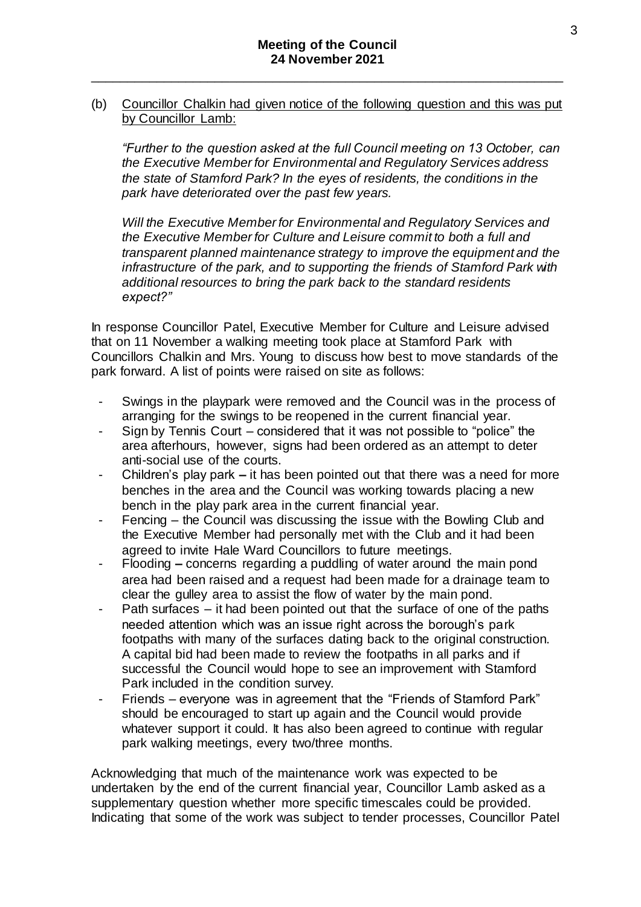#### (b) Councillor Chalkin had given notice of the following question and this was put by Councillor Lamb:

*"Further to the question asked at the full Council meeting on 13 October, can the Executive Member for Environmental and Regulatory Services address the state of Stamford Park? In the eyes of residents, the conditions in the park have deteriorated over the past few years.* 

*Will the Executive Member for Environmental and Regulatory Services and the Executive Member for Culture and Leisure commit to both a full and transparent planned maintenance strategy to improve the equipment and the infrastructure of the park, and to supporting the friends of Stamford Park with additional resources to bring the park back to the standard residents expect?"*

In response Councillor Patel, Executive Member for Culture and Leisure advised that on 11 November a walking meeting took place at Stamford Park with Councillors Chalkin and Mrs. Young to discuss how best to move standards of the park forward. A list of points were raised on site as follows:

- Swings in the playpark were removed and the Council was in the process of arranging for the swings to be reopened in the current financial year.
- Sign by Tennis Court considered that it was not possible to "police" the area afterhours, however, signs had been ordered as an attempt to deter anti-social use of the courts.
- Children's play park **–** it has been pointed out that there was a need for more benches in the area and the Council was working towards placing a new bench in the play park area in the current financial year.
- Fencing the Council was discussing the issue with the Bowling Club and the Executive Member had personally met with the Club and it had been agreed to invite Hale Ward Councillors to future meetings.
- Flooding **–** concerns regarding a puddling of water around the main pond area had been raised and a request had been made for a drainage team to clear the gulley area to assist the flow of water by the main pond.
- Path surfaces it had been pointed out that the surface of one of the paths needed attention which was an issue right across the borough's park footpaths with many of the surfaces dating back to the original construction. A capital bid had been made to review the footpaths in all parks and if successful the Council would hope to see an improvement with Stamford Park included in the condition survey.
- Friends everyone was in agreement that the "Friends of Stamford Park" should be encouraged to start up again and the Council would provide whatever support it could. It has also been agreed to continue with regular park walking meetings, every two/three months.

Acknowledging that much of the maintenance work was expected to be undertaken by the end of the current financial year, Councillor Lamb asked as a supplementary question whether more specific timescales could be provided. Indicating that some of the work was subject to tender processes, Councillor Patel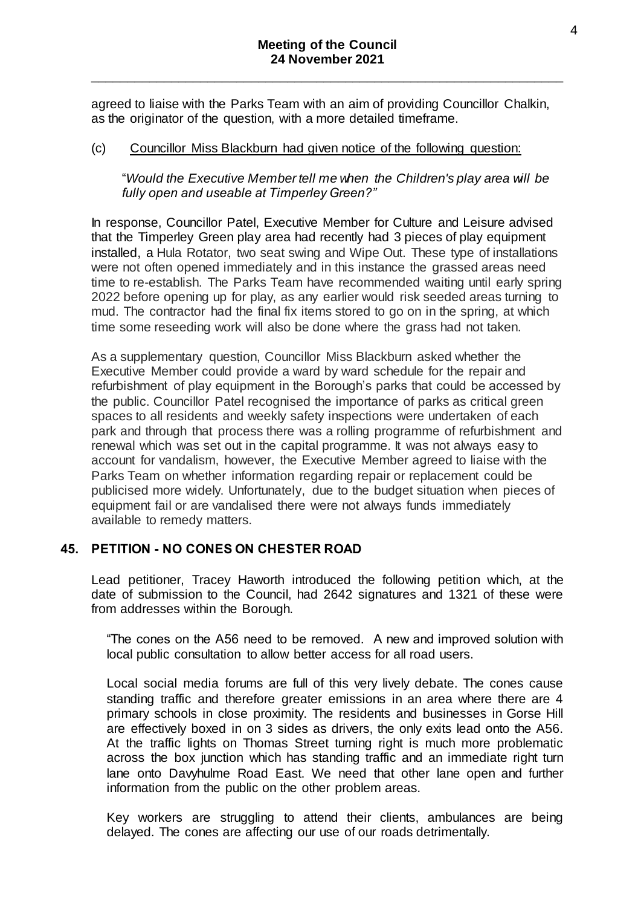agreed to liaise with the Parks Team with an aim of providing Councillor Chalkin, as the originator of the question, with a more detailed timeframe.

#### (c) Councillor Miss Blackburn had given notice of the following question:

"*Would the Executive Member tell me when the Children's play area will be fully open and useable at Timperley Green?"*

In response, Councillor Patel, Executive Member for Culture and Leisure advised that the Timperley Green play area had recently had 3 pieces of play equipment installed, a Hula Rotator, two seat swing and Wipe Out. These type of installations were not often opened immediately and in this instance the grassed areas need time to re-establish. The Parks Team have recommended waiting until early spring 2022 before opening up for play, as any earlier would risk seeded areas turning to mud. The contractor had the final fix items stored to go on in the spring, at which time some reseeding work will also be done where the grass had not taken.

As a supplementary question, Councillor Miss Blackburn asked whether the Executive Member could provide a ward by ward schedule for the repair and refurbishment of play equipment in the Borough's parks that could be accessed by the public. Councillor Patel recognised the importance of parks as critical green spaces to all residents and weekly safety inspections were undertaken of each park and through that process there was a rolling programme of refurbishment and renewal which was set out in the capital programme. It was not always easy to account for vandalism, however, the Executive Member agreed to liaise with the Parks Team on whether information regarding repair or replacement could be publicised more widely. Unfortunately, due to the budget situation when pieces of equipment fail or are vandalised there were not always funds immediately available to remedy matters.

## **45. PETITION - NO CONES ON CHESTER ROAD**

Lead petitioner, Tracey Haworth introduced the following petition which, at the date of submission to the Council, had 2642 signatures and 1321 of these were from addresses within the Borough.

"The cones on the A56 need to be removed. A new and improved solution with local public consultation to allow better access for all road users.

Local social media forums are full of this very lively debate. The cones cause standing traffic and therefore greater emissions in an area where there are 4 primary schools in close proximity. The residents and businesses in Gorse Hill are effectively boxed in on 3 sides as drivers, the only exits lead onto the A56. At the traffic lights on Thomas Street turning right is much more problematic across the box junction which has standing traffic and an immediate right turn lane onto Davyhulme Road East. We need that other lane open and further information from the public on the other problem areas.

Key workers are struggling to attend their clients, ambulances are being delayed. The cones are affecting our use of our roads detrimentally.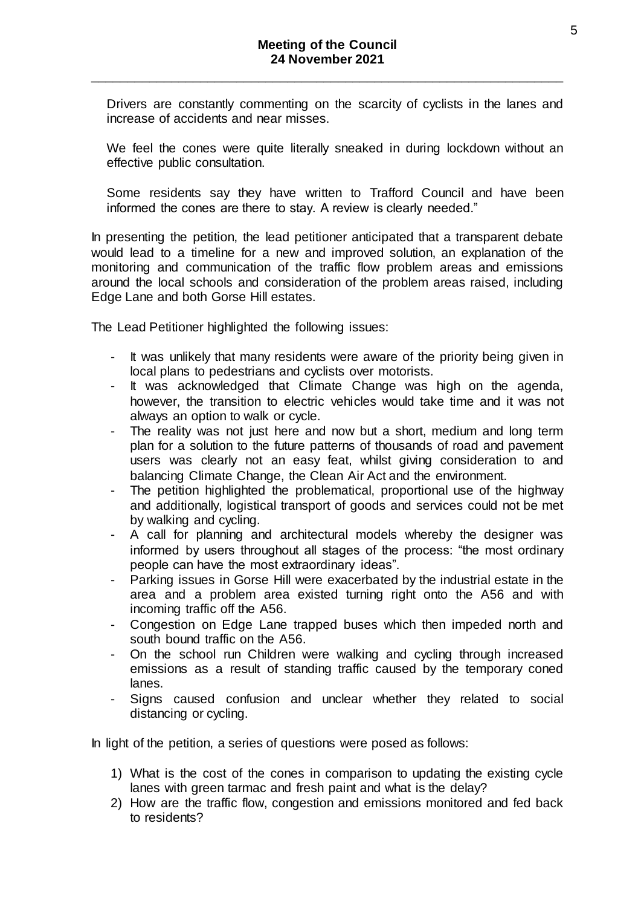Drivers are constantly commenting on the scarcity of cyclists in the lanes and increase of accidents and near misses.

We feel the cones were quite literally sneaked in during lockdown without an effective public consultation.

Some residents say they have written to Trafford Council and have been informed the cones are there to stay. A review is clearly needed."

In presenting the petition, the lead petitioner anticipated that a transparent debate would lead to a timeline for a new and improved solution, an explanation of the monitoring and communication of the traffic flow problem areas and emissions around the local schools and consideration of the problem areas raised, including Edge Lane and both Gorse Hill estates.

The Lead Petitioner highlighted the following issues:

- It was unlikely that many residents were aware of the priority being given in local plans to pedestrians and cyclists over motorists.
- It was acknowledged that Climate Change was high on the agenda, however, the transition to electric vehicles would take time and it was not always an option to walk or cycle.
- The reality was not just here and now but a short, medium and long term plan for a solution to the future patterns of thousands of road and pavement users was clearly not an easy feat, whilst giving consideration to and balancing Climate Change, the Clean Air Act and the environment.
- The petition highlighted the problematical, proportional use of the highway and additionally, logistical transport of goods and services could not be met by walking and cycling.
- A call for planning and architectural models whereby the designer was informed by users throughout all stages of the process: "the most ordinary people can have the most extraordinary ideas".
- Parking issues in Gorse Hill were exacerbated by the industrial estate in the area and a problem area existed turning right onto the A56 and with incoming traffic off the A56.
- Congestion on Edge Lane trapped buses which then impeded north and south bound traffic on the A56.
- On the school run Children were walking and cycling through increased emissions as a result of standing traffic caused by the temporary coned lanes.
- Signs caused confusion and unclear whether they related to social distancing or cycling.

In light of the petition, a series of questions were posed as follows:

- 1) What is the cost of the cones in comparison to updating the existing cycle lanes with green tarmac and fresh paint and what is the delay?
- 2) How are the traffic flow, congestion and emissions monitored and fed back to residents?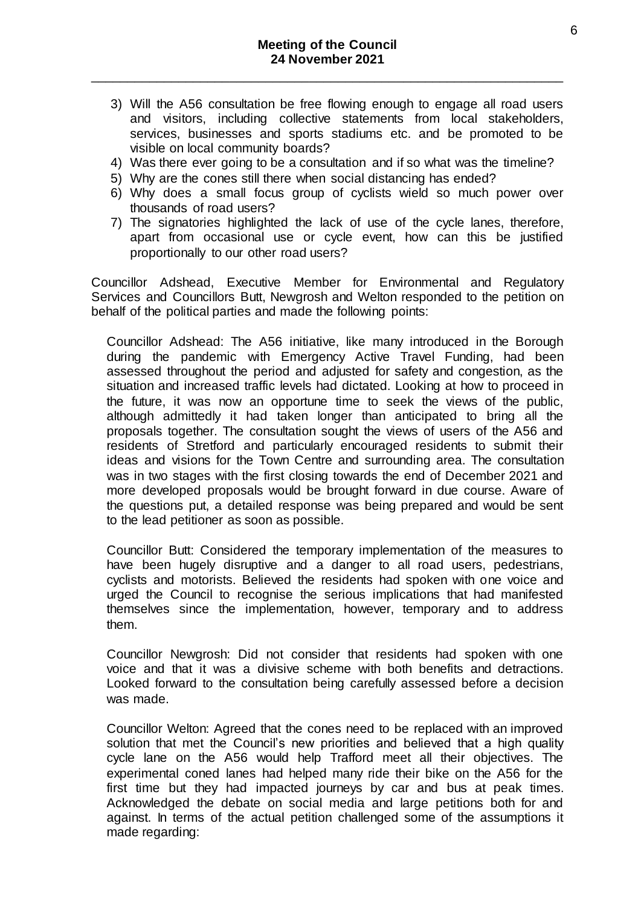- 3) Will the A56 consultation be free flowing enough to engage all road users and visitors, including collective statements from local stakeholders, services, businesses and sports stadiums etc. and be promoted to be visible on local community boards?
- 4) Was there ever going to be a consultation and if so what was the timeline?
- 5) Why are the cones still there when social distancing has ended?
- 6) Why does a small focus group of cyclists wield so much power over thousands of road users?
- 7) The signatories highlighted the lack of use of the cycle lanes, therefore, apart from occasional use or cycle event, how can this be justified proportionally to our other road users?

Councillor Adshead, Executive Member for Environmental and Regulatory Services and Councillors Butt, Newgrosh and Welton responded to the petition on behalf of the political parties and made the following points:

Councillor Adshead: The A56 initiative, like many introduced in the Borough during the pandemic with Emergency Active Travel Funding, had been assessed throughout the period and adjusted for safety and congestion, as the situation and increased traffic levels had dictated. Looking at how to proceed in the future, it was now an opportune time to seek the views of the public, although admittedly it had taken longer than anticipated to bring all the proposals together. The consultation sought the views of users of the A56 and residents of Stretford and particularly encouraged residents to submit their ideas and visions for the Town Centre and surrounding area. The consultation was in two stages with the first closing towards the end of December 2021 and more developed proposals would be brought forward in due course. Aware of the questions put, a detailed response was being prepared and would be sent to the lead petitioner as soon as possible.

Councillor Butt: Considered the temporary implementation of the measures to have been hugely disruptive and a danger to all road users, pedestrians, cyclists and motorists. Believed the residents had spoken with one voice and urged the Council to recognise the serious implications that had manifested themselves since the implementation, however, temporary and to address them.

Councillor Newgrosh: Did not consider that residents had spoken with one voice and that it was a divisive scheme with both benefits and detractions. Looked forward to the consultation being carefully assessed before a decision was made.

Councillor Welton: Agreed that the cones need to be replaced with an improved solution that met the Council's new priorities and believed that a high quality cycle lane on the A56 would help Trafford meet all their objectives. The experimental coned lanes had helped many ride their bike on the A56 for the first time but they had impacted journeys by car and bus at peak times. Acknowledged the debate on social media and large petitions both for and against. In terms of the actual petition challenged some of the assumptions it made regarding: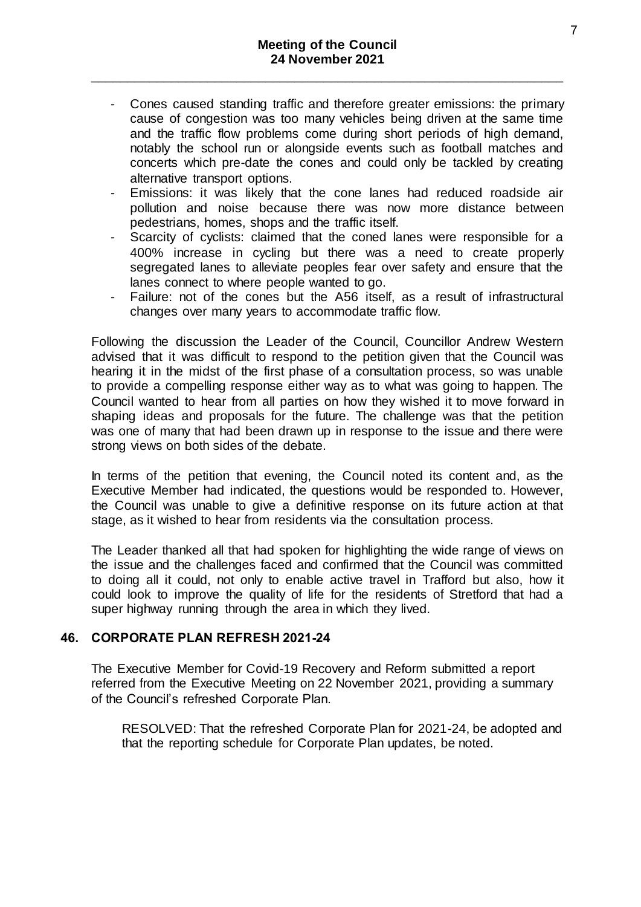- Cones caused standing traffic and therefore greater emissions: the primary cause of congestion was too many vehicles being driven at the same time and the traffic flow problems come during short periods of high demand, notably the school run or alongside events such as football matches and concerts which pre-date the cones and could only be tackled by creating alternative transport options.
- Emissions: it was likely that the cone lanes had reduced roadside air pollution and noise because there was now more distance between pedestrians, homes, shops and the traffic itself.
- Scarcity of cyclists: claimed that the coned lanes were responsible for a 400% increase in cycling but there was a need to create properly segregated lanes to alleviate peoples fear over safety and ensure that the lanes connect to where people wanted to go.
- Failure: not of the cones but the A56 itself, as a result of infrastructural changes over many years to accommodate traffic flow.

Following the discussion the Leader of the Council, Councillor Andrew Western advised that it was difficult to respond to the petition given that the Council was hearing it in the midst of the first phase of a consultation process, so was unable to provide a compelling response either way as to what was going to happen. The Council wanted to hear from all parties on how they wished it to move forward in shaping ideas and proposals for the future. The challenge was that the petition was one of many that had been drawn up in response to the issue and there were strong views on both sides of the debate.

In terms of the petition that evening, the Council noted its content and, as the Executive Member had indicated, the questions would be responded to. However, the Council was unable to give a definitive response on its future action at that stage, as it wished to hear from residents via the consultation process.

The Leader thanked all that had spoken for highlighting the wide range of views on the issue and the challenges faced and confirmed that the Council was committed to doing all it could, not only to enable active travel in Trafford but also, how it could look to improve the quality of life for the residents of Stretford that had a super highway running through the area in which they lived.

## **46. CORPORATE PLAN REFRESH 2021-24**

The Executive Member for Covid-19 Recovery and Reform submitted a report referred from the Executive Meeting on 22 November 2021, providing a summary of the Council's refreshed Corporate Plan.

RESOLVED: That the refreshed Corporate Plan for 2021-24, be adopted and that the reporting schedule for Corporate Plan updates, be noted.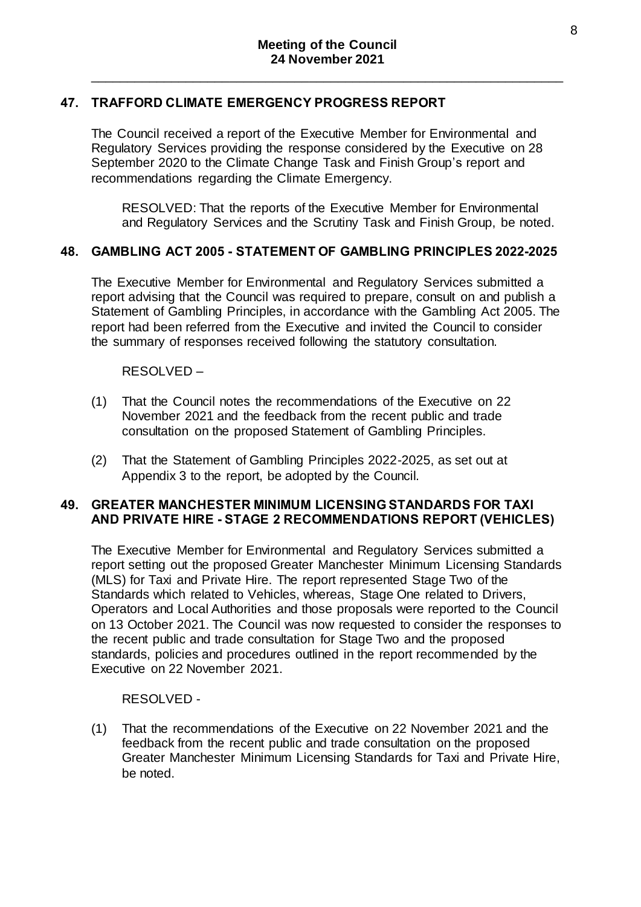# **47. TRAFFORD CLIMATE EMERGENCY PROGRESS REPORT**

The Council received a report of the Executive Member for Environmental and Regulatory Services providing the response considered by the Executive on 28 September 2020 to the Climate Change Task and Finish Group's report and recommendations regarding the Climate Emergency.

RESOLVED: That the reports of the Executive Member for Environmental and Regulatory Services and the Scrutiny Task and Finish Group, be noted.

## **48. GAMBLING ACT 2005 - STATEMENT OF GAMBLING PRINCIPLES 2022-2025**

The Executive Member for Environmental and Regulatory Services submitted a report advising that the Council was required to prepare, consult on and publish a Statement of Gambling Principles, in accordance with the Gambling Act 2005. The report had been referred from the Executive and invited the Council to consider the summary of responses received following the statutory consultation.

RESOLVED –

- (1) That the Council notes the recommendations of the Executive on 22 November 2021 and the feedback from the recent public and trade consultation on the proposed Statement of Gambling Principles.
- (2) That the Statement of Gambling Principles 2022-2025, as set out at Appendix 3 to the report, be adopted by the Council.

#### **49. GREATER MANCHESTER MINIMUM LICENSING STANDARDS FOR TAXI AND PRIVATE HIRE - STAGE 2 RECOMMENDATIONS REPORT (VEHICLES)**

The Executive Member for Environmental and Regulatory Services submitted a report setting out the proposed Greater Manchester Minimum Licensing Standards (MLS) for Taxi and Private Hire. The report represented Stage Two of the Standards which related to Vehicles, whereas, Stage One related to Drivers, Operators and Local Authorities and those proposals were reported to the Council on 13 October 2021. The Council was now requested to consider the responses to the recent public and trade consultation for Stage Two and the proposed standards, policies and procedures outlined in the report recommended by the Executive on 22 November 2021.

#### RESOLVED -

(1) That the recommendations of the Executive on 22 November 2021 and the feedback from the recent public and trade consultation on the proposed Greater Manchester Minimum Licensing Standards for Taxi and Private Hire, be noted.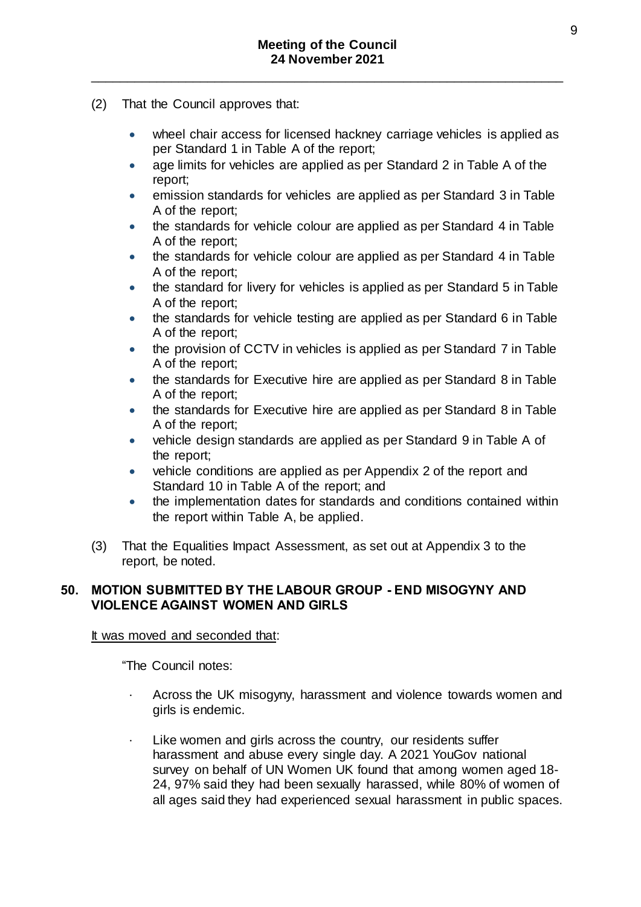- (2) That the Council approves that:
	- wheel chair access for licensed hackney carriage vehicles is applied as per Standard 1 in Table A of the report;
	- age limits for vehicles are applied as per Standard 2 in Table A of the report;
	- emission standards for vehicles are applied as per Standard 3 in Table A of the report;
	- the standards for vehicle colour are applied as per Standard 4 in Table A of the report;
	- the standards for vehicle colour are applied as per Standard 4 in Table A of the report;
	- the standard for livery for vehicles is applied as per Standard 5 in Table A of the report;
	- the standards for vehicle testing are applied as per Standard 6 in Table A of the report;
	- the provision of CCTV in vehicles is applied as per Standard 7 in Table A of the report;
	- the standards for Executive hire are applied as per Standard 8 in Table A of the report;
	- the standards for Executive hire are applied as per Standard 8 in Table A of the report;
	- vehicle design standards are applied as per Standard 9 in Table A of the report;
	- vehicle conditions are applied as per Appendix 2 of the report and Standard 10 in Table A of the report; and
	- the implementation dates for standards and conditions contained within the report within Table A, be applied.
- (3) That the Equalities Impact Assessment, as set out at Appendix 3 to the report, be noted.

## **50. MOTION SUBMITTED BY THE LABOUR GROUP - END MISOGYNY AND VIOLENCE AGAINST WOMEN AND GIRLS**

It was moved and seconded that:

"The Council notes:

- Across the UK misogyny, harassment and violence towards women and girls is endemic.
- Like women and girls across the country, our residents suffer harassment and abuse every single day. A 2021 YouGov national survey on behalf of UN Women UK found that among women aged 18- 24, 97% said they had been sexually harassed, while 80% of women of all ages said they had experienced sexual harassment in public spaces.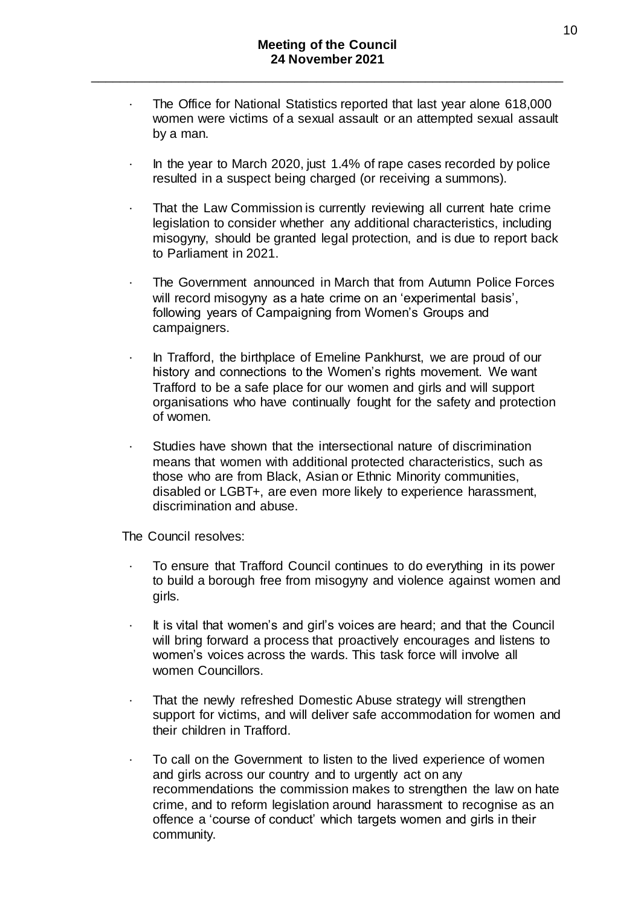- The Office for National Statistics reported that last year alone 618,000 women were victims of a sexual assault or an attempted sexual assault by a man.
- · In the year to March 2020, just 1.4% of rape cases recorded by police resulted in a suspect being charged (or receiving a summons).
- That the Law Commission is currently reviewing all current hate crime legislation to consider whether any additional characteristics, including misogyny, should be granted legal protection, and is due to report back to Parliament in 2021.
- · The Government announced in March that from Autumn Police Forces will record misogyny as a hate crime on an 'experimental basis', following years of Campaigning from Women's Groups and campaigners.
- · In Trafford, the birthplace of Emeline Pankhurst, we are proud of our history and connections to the Women's rights movement. We want Trafford to be a safe place for our women and girls and will support organisations who have continually fought for the safety and protection of women.
- Studies have shown that the intersectional nature of discrimination means that women with additional protected characteristics, such as those who are from Black, Asian or Ethnic Minority communities, disabled or LGBT+, are even more likely to experience harassment, discrimination and abuse.

The Council resolves:

- · To ensure that Trafford Council continues to do everything in its power to build a borough free from misogyny and violence against women and girls.
- It is vital that women's and girl's voices are heard; and that the Council will bring forward a process that proactively encourages and listens to women's voices across the wards. This task force will involve all women Councillors.
- That the newly refreshed Domestic Abuse strategy will strengthen support for victims, and will deliver safe accommodation for women and their children in Trafford.
- To call on the Government to listen to the lived experience of women and girls across our country and to urgently act on any recommendations the commission makes to strengthen the law on hate crime, and to reform legislation around harassment to recognise as an offence a 'course of conduct' which targets women and girls in their community.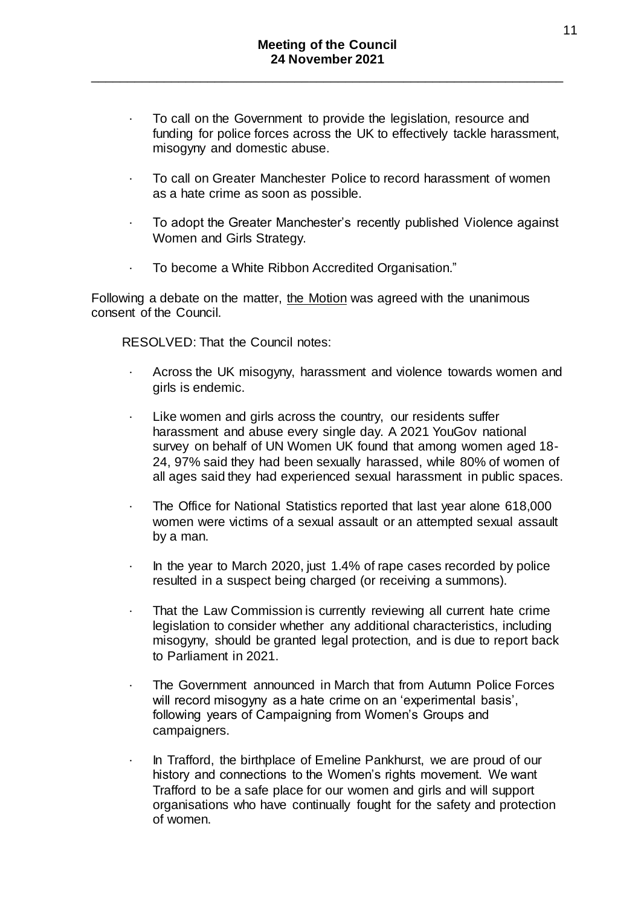- · To call on the Government to provide the legislation, resource and funding for police forces across the UK to effectively tackle harassment, misogyny and domestic abuse.
- · To call on Greater Manchester Police to record harassment of women as a hate crime as soon as possible.
- · To adopt the Greater Manchester's recently published Violence against Women and Girls Strategy.
- · To become a White Ribbon Accredited Organisation."

Following a debate on the matter, the Motion was agreed with the unanimous consent of the Council.

RESOLVED: That the Council notes:

- · Across the UK misogyny, harassment and violence towards women and girls is endemic.
- Like women and girls across the country, our residents suffer harassment and abuse every single day. A 2021 YouGov national survey on behalf of UN Women UK found that among women aged 18- 24, 97% said they had been sexually harassed, while 80% of women of all ages said they had experienced sexual harassment in public spaces.
- The Office for National Statistics reported that last year alone 618,000 women were victims of a sexual assault or an attempted sexual assault by a man.
- · In the year to March 2020, just 1.4% of rape cases recorded by police resulted in a suspect being charged (or receiving a summons).
- That the Law Commission is currently reviewing all current hate crime legislation to consider whether any additional characteristics, including misogyny, should be granted legal protection, and is due to report back to Parliament in 2021.
- · The Government announced in March that from Autumn Police Forces will record misogyny as a hate crime on an 'experimental basis', following years of Campaigning from Women's Groups and campaigners.
- · In Trafford, the birthplace of Emeline Pankhurst, we are proud of our history and connections to the Women's rights movement. We want Trafford to be a safe place for our women and girls and will support organisations who have continually fought for the safety and protection of women.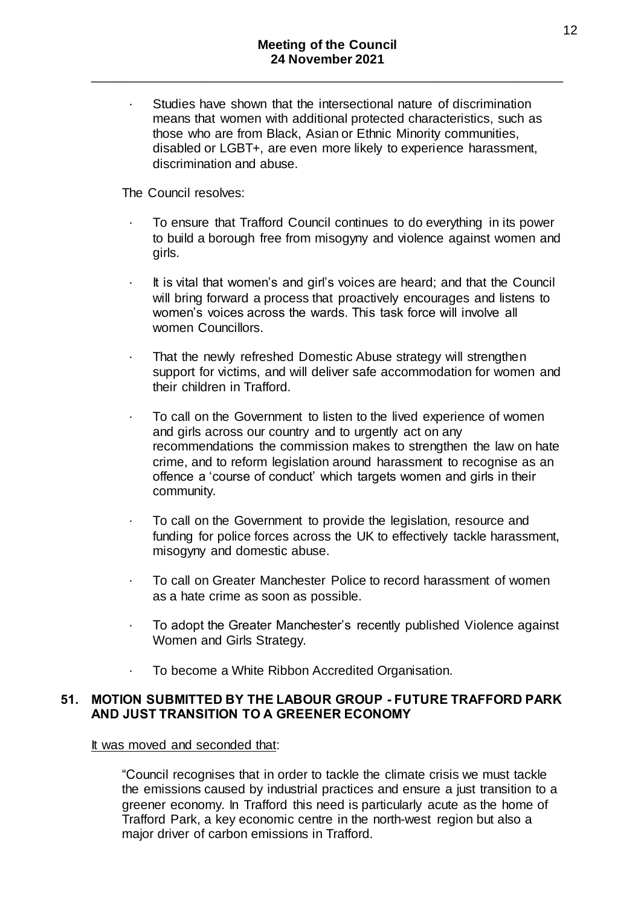· Studies have shown that the intersectional nature of discrimination means that women with additional protected characteristics, such as those who are from Black, Asian or Ethnic Minority communities, disabled or LGBT+, are even more likely to experience harassment, discrimination and abuse.

The Council resolves:

- To ensure that Trafford Council continues to do everything in its power to build a borough free from misogyny and violence against women and girls.
- It is vital that women's and girl's voices are heard; and that the Council will bring forward a process that proactively encourages and listens to women's voices across the wards. This task force will involve all women Councillors.
- That the newly refreshed Domestic Abuse strategy will strengthen support for victims, and will deliver safe accommodation for women and their children in Trafford.
- To call on the Government to listen to the lived experience of women and girls across our country and to urgently act on any recommendations the commission makes to strengthen the law on hate crime, and to reform legislation around harassment to recognise as an offence a 'course of conduct' which targets women and girls in their community.
- To call on the Government to provide the legislation, resource and funding for police forces across the UK to effectively tackle harassment, misogyny and domestic abuse.
- To call on Greater Manchester Police to record harassment of women as a hate crime as soon as possible.
- To adopt the Greater Manchester's recently published Violence against Women and Girls Strategy.
- · To become a White Ribbon Accredited Organisation.

#### **51. MOTION SUBMITTED BY THE LABOUR GROUP - FUTURE TRAFFORD PARK AND JUST TRANSITION TO A GREENER ECONOMY**

It was moved and seconded that:

"Council recognises that in order to tackle the climate crisis we must tackle the emissions caused by industrial practices and ensure a just transition to a greener economy. In Trafford this need is particularly acute as the home of Trafford Park, a key economic centre in the north-west region but also a major driver of carbon emissions in Trafford.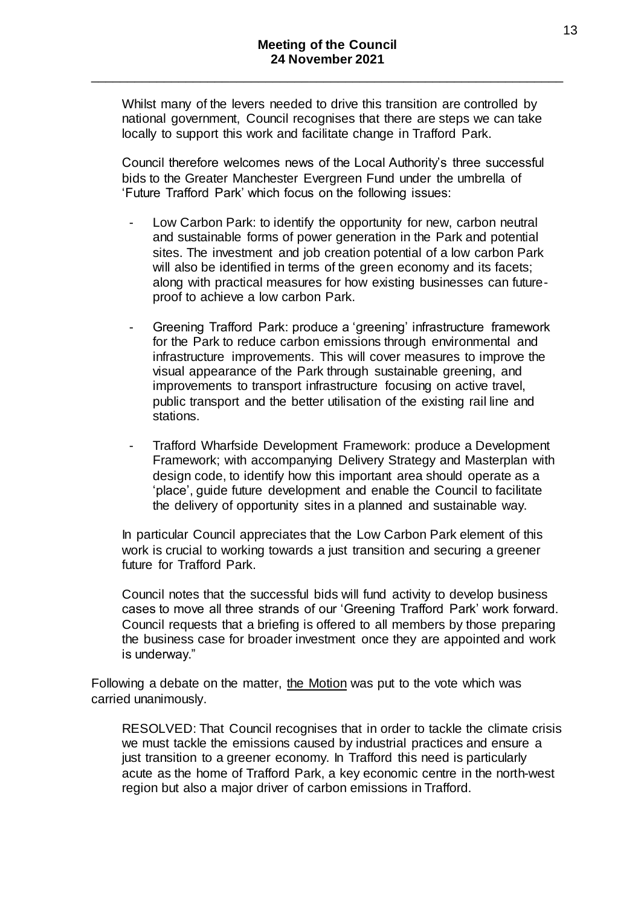Whilst many of the levers needed to drive this transition are controlled by national government, Council recognises that there are steps we can take locally to support this work and facilitate change in Trafford Park.

Council therefore welcomes news of the Local Authority's three successful bids to the Greater Manchester Evergreen Fund under the umbrella of 'Future Trafford Park' which focus on the following issues:

- Low Carbon Park: to identify the opportunity for new, carbon neutral and sustainable forms of power generation in the Park and potential sites. The investment and job creation potential of a low carbon Park will also be identified in terms of the green economy and its facets; along with practical measures for how existing businesses can futureproof to achieve a low carbon Park.
- Greening Trafford Park: produce a 'greening' infrastructure framework for the Park to reduce carbon emissions through environmental and infrastructure improvements. This will cover measures to improve the visual appearance of the Park through sustainable greening, and improvements to transport infrastructure focusing on active travel, public transport and the better utilisation of the existing rail line and stations.
- Trafford Wharfside Development Framework: produce a Development Framework; with accompanying Delivery Strategy and Masterplan with design code, to identify how this important area should operate as a 'place', guide future development and enable the Council to facilitate the delivery of opportunity sites in a planned and sustainable way.

In particular Council appreciates that the Low Carbon Park element of this work is crucial to working towards a just transition and securing a greener future for Trafford Park.

Council notes that the successful bids will fund activity to develop business cases to move all three strands of our 'Greening Trafford Park' work forward. Council requests that a briefing is offered to all members by those preparing the business case for broader investment once they are appointed and work is underway."

Following a debate on the matter, the Motion was put to the vote which was carried unanimously.

RESOLVED: That Council recognises that in order to tackle the climate crisis we must tackle the emissions caused by industrial practices and ensure a just transition to a greener economy. In Trafford this need is particularly acute as the home of Trafford Park, a key economic centre in the north-west region but also a major driver of carbon emissions in Trafford.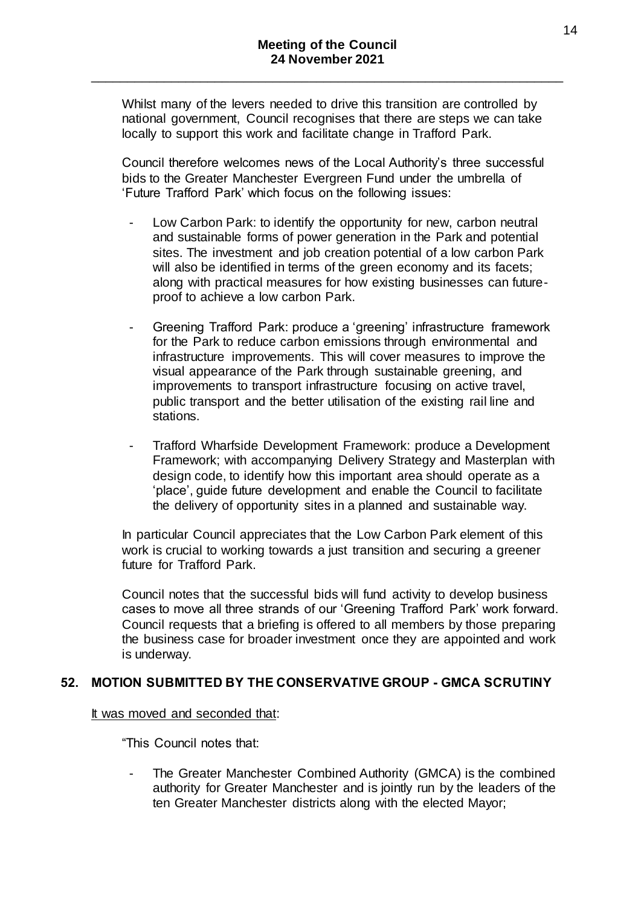Whilst many of the levers needed to drive this transition are controlled by national government, Council recognises that there are steps we can take locally to support this work and facilitate change in Trafford Park.

Council therefore welcomes news of the Local Authority's three successful bids to the Greater Manchester Evergreen Fund under the umbrella of 'Future Trafford Park' which focus on the following issues:

- Low Carbon Park: to identify the opportunity for new, carbon neutral and sustainable forms of power generation in the Park and potential sites. The investment and job creation potential of a low carbon Park will also be identified in terms of the green economy and its facets; along with practical measures for how existing businesses can futureproof to achieve a low carbon Park.
- Greening Trafford Park: produce a 'greening' infrastructure framework for the Park to reduce carbon emissions through environmental and infrastructure improvements. This will cover measures to improve the visual appearance of the Park through sustainable greening, and improvements to transport infrastructure focusing on active travel, public transport and the better utilisation of the existing rail line and stations.
- Trafford Wharfside Development Framework: produce a Development Framework; with accompanying Delivery Strategy and Masterplan with design code, to identify how this important area should operate as a 'place', guide future development and enable the Council to facilitate the delivery of opportunity sites in a planned and sustainable way.

In particular Council appreciates that the Low Carbon Park element of this work is crucial to working towards a just transition and securing a greener future for Trafford Park.

Council notes that the successful bids will fund activity to develop business cases to move all three strands of our 'Greening Trafford Park' work forward. Council requests that a briefing is offered to all members by those preparing the business case for broader investment once they are appointed and work is underway.

# **52. MOTION SUBMITTED BY THE CONSERVATIVE GROUP - GMCA SCRUTINY**

#### It was moved and seconded that:

"This Council notes that:

The Greater Manchester Combined Authority (GMCA) is the combined authority for Greater Manchester and is jointly run by the leaders of the ten Greater Manchester districts along with the elected Mayor;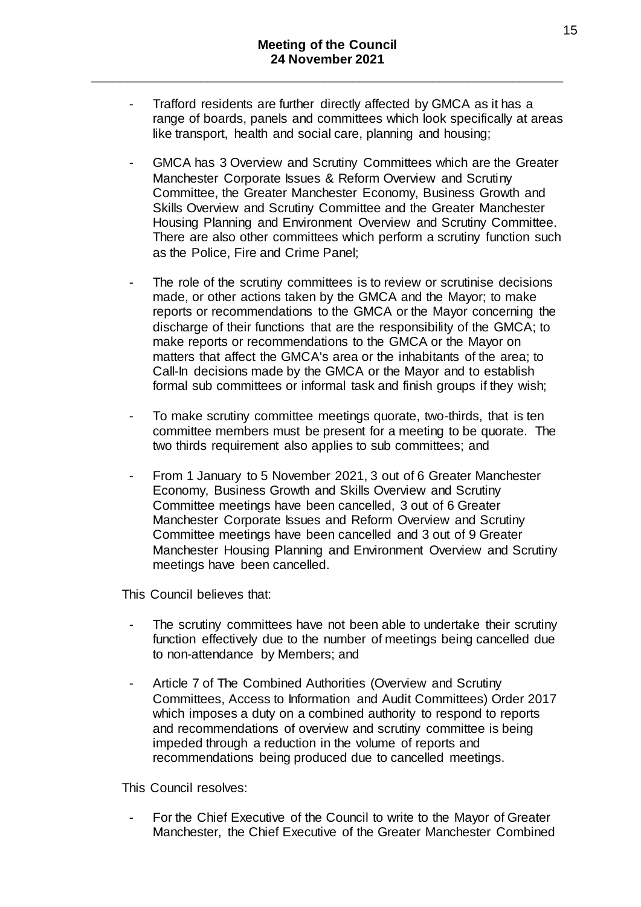- Trafford residents are further directly affected by GMCA as it has a range of boards, panels and committees which look specifically at areas like transport, health and social care, planning and housing;
- GMCA has 3 Overview and Scrutiny Committees which are the Greater Manchester Corporate Issues & Reform Overview and Scrutiny Committee, the Greater Manchester Economy, Business Growth and Skills Overview and Scrutiny Committee and the Greater Manchester Housing Planning and Environment Overview and Scrutiny Committee. There are also other committees which perform a scrutiny function such as the Police, Fire and Crime Panel;
- The role of the scrutiny committees is to review or scrutinise decisions made, or other actions taken by the GMCA and the Mayor; to make reports or recommendations to the GMCA or the Mayor concerning the discharge of their functions that are the responsibility of the GMCA; to make reports or recommendations to the GMCA or the Mayor on matters that affect the GMCA's area or the inhabitants of the area; to Call-In decisions made by the GMCA or the Mayor and to establish formal sub committees or informal task and finish groups if they wish;
- To make scrutiny committee meetings quorate, two-thirds, that is ten committee members must be present for a meeting to be quorate. The two thirds requirement also applies to sub committees; and
- From 1 January to 5 November 2021, 3 out of 6 Greater Manchester Economy, Business Growth and Skills Overview and Scrutiny Committee meetings have been cancelled, 3 out of 6 Greater Manchester Corporate Issues and Reform Overview and Scrutiny Committee meetings have been cancelled and 3 out of 9 Greater Manchester Housing Planning and Environment Overview and Scrutiny meetings have been cancelled.

This Council believes that:

- The scrutiny committees have not been able to undertake their scrutiny function effectively due to the number of meetings being cancelled due to non-attendance by Members; and
- Article 7 of The Combined Authorities (Overview and Scrutiny Committees, Access to Information and Audit Committees) Order 2017 which imposes a duty on a combined authority to respond to reports and recommendations of overview and scrutiny committee is being impeded through a reduction in the volume of reports and recommendations being produced due to cancelled meetings.

This Council resolves:

- For the Chief Executive of the Council to write to the Mayor of Greater Manchester, the Chief Executive of the Greater Manchester Combined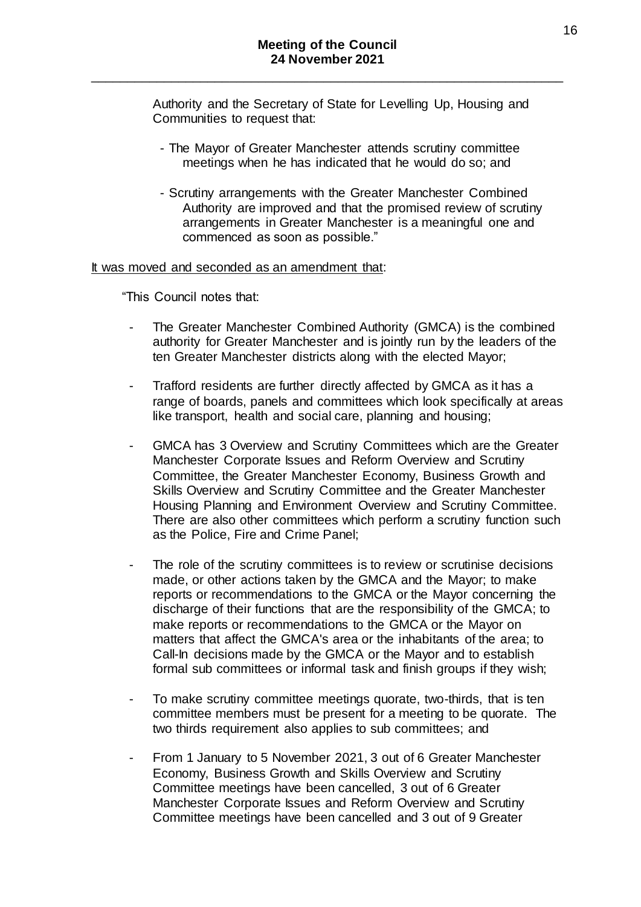Authority and the Secretary of State for Levelling Up, Housing and Communities to request that:

- The Mayor of Greater Manchester attends scrutiny committee meetings when he has indicated that he would do so; and
- Scrutiny arrangements with the Greater Manchester Combined Authority are improved and that the promised review of scrutiny arrangements in Greater Manchester is a meaningful one and commenced as soon as possible."

#### It was moved and seconded as an amendment that:

"This Council notes that:

- The Greater Manchester Combined Authority (GMCA) is the combined authority for Greater Manchester and is jointly run by the leaders of the ten Greater Manchester districts along with the elected Mayor;
- Trafford residents are further directly affected by GMCA as it has a range of boards, panels and committees which look specifically at areas like transport, health and social care, planning and housing;
- GMCA has 3 Overview and Scrutiny Committees which are the Greater Manchester Corporate Issues and Reform Overview and Scrutiny Committee, the Greater Manchester Economy, Business Growth and Skills Overview and Scrutiny Committee and the Greater Manchester Housing Planning and Environment Overview and Scrutiny Committee. There are also other committees which perform a scrutiny function such as the Police, Fire and Crime Panel;
- The role of the scrutiny committees is to review or scrutinise decisions made, or other actions taken by the GMCA and the Mayor; to make reports or recommendations to the GMCA or the Mayor concerning the discharge of their functions that are the responsibility of the GMCA; to make reports or recommendations to the GMCA or the Mayor on matters that affect the GMCA's area or the inhabitants of the area; to Call-In decisions made by the GMCA or the Mayor and to establish formal sub committees or informal task and finish groups if they wish;
- To make scrutiny committee meetings quorate, two-thirds, that is ten committee members must be present for a meeting to be quorate. The two thirds requirement also applies to sub committees; and
- From 1 January to 5 November 2021, 3 out of 6 Greater Manchester Economy, Business Growth and Skills Overview and Scrutiny Committee meetings have been cancelled, 3 out of 6 Greater Manchester Corporate Issues and Reform Overview and Scrutiny Committee meetings have been cancelled and 3 out of 9 Greater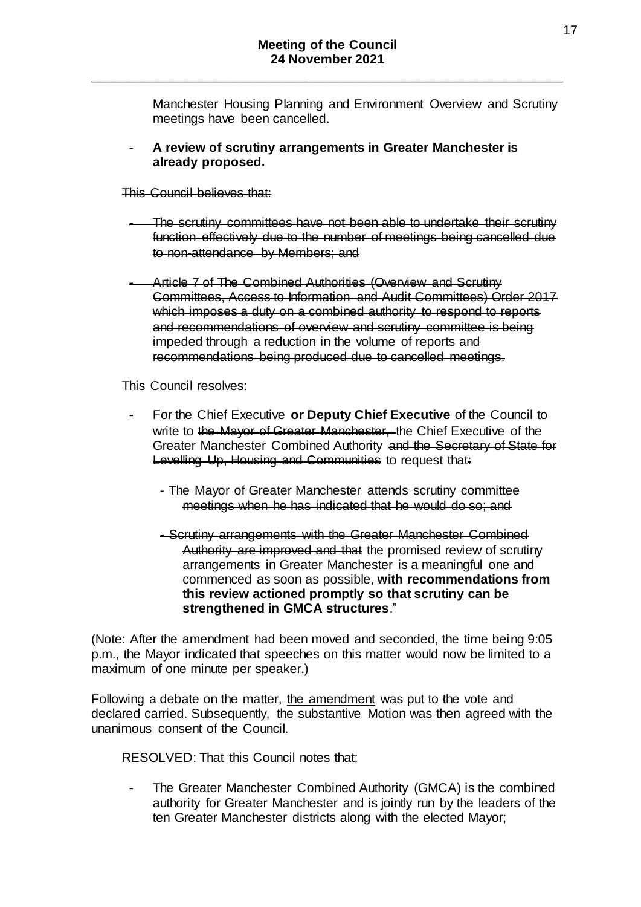Manchester Housing Planning and Environment Overview and Scrutiny meetings have been cancelled.

- **A review of scrutiny arrangements in Greater Manchester is already proposed.**
- This Council believes that:
	- The scrutiny committees have not been able to undertake their scrutiny function effectively due to the number of meetings being cancelled due to non-attendance by Members; and
- Article 7 of The Combined Authorities (Overview and Scrutiny Committees, Access to Information and Audit Committees) Order 2017 which imposes a duty on a combined authority to respond to reports and recommendations of overview and scrutiny committee is being impeded through a reduction in the volume of reports and recommendations being produced due to cancelled meetings.

This Council resolves:

- For the Chief Executive **or Deputy Chief Executive** of the Council to write to the Mayor of Greater Manchester, the Chief Executive of the Greater Manchester Combined Authority and the Secretary of State for Levelling Up, Housing and Communities to request that:
	- The Mayor of Greater Manchester attends scrutiny committee meetings when he has indicated that he would do so; and
	- Scrutiny arrangements with the Greater Manchester Combined Authority are improved and that the promised review of scrutiny arrangements in Greater Manchester is a meaningful one and commenced as soon as possible, **with recommendations from this review actioned promptly so that scrutiny can be strengthened in GMCA structures**."

(Note: After the amendment had been moved and seconded, the time being 9:05 p.m., the Mayor indicated that speeches on this matter would now be limited to a maximum of one minute per speaker.)

Following a debate on the matter, the amendment was put to the vote and declared carried. Subsequently, the substantive Motion was then agreed with the unanimous consent of the Council.

RESOLVED: That this Council notes that:

The Greater Manchester Combined Authority (GMCA) is the combined authority for Greater Manchester and is jointly run by the leaders of the ten Greater Manchester districts along with the elected Mayor;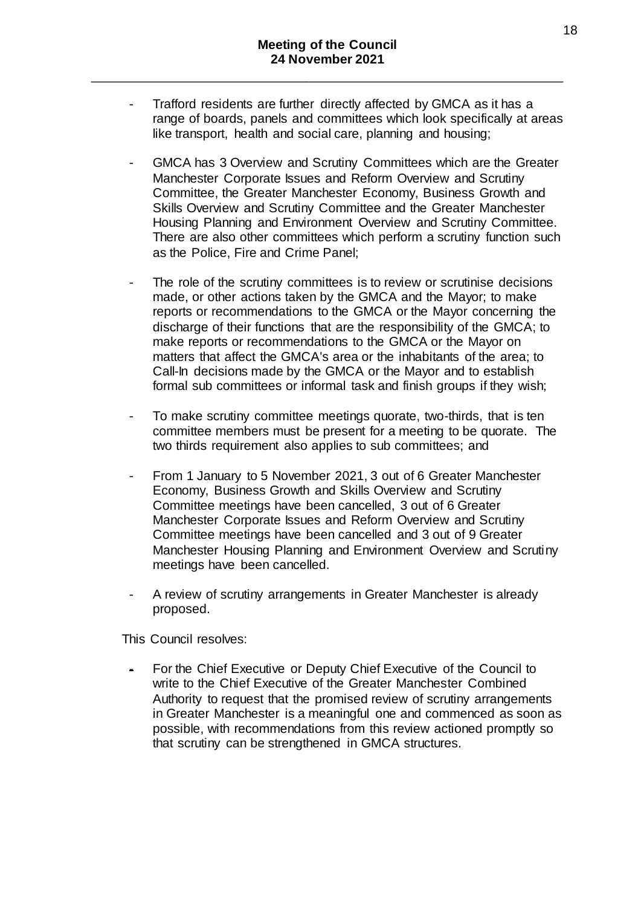- Trafford residents are further directly affected by GMCA as it has a range of boards, panels and committees which look specifically at areas like transport, health and social care, planning and housing;
- GMCA has 3 Overview and Scrutiny Committees which are the Greater Manchester Corporate Issues and Reform Overview and Scrutiny Committee, the Greater Manchester Economy, Business Growth and Skills Overview and Scrutiny Committee and the Greater Manchester Housing Planning and Environment Overview and Scrutiny Committee. There are also other committees which perform a scrutiny function such as the Police, Fire and Crime Panel;
- The role of the scrutiny committees is to review or scrutinise decisions made, or other actions taken by the GMCA and the Mayor; to make reports or recommendations to the GMCA or the Mayor concerning the discharge of their functions that are the responsibility of the GMCA; to make reports or recommendations to the GMCA or the Mayor on matters that affect the GMCA's area or the inhabitants of the area; to Call-In decisions made by the GMCA or the Mayor and to establish formal sub committees or informal task and finish groups if they wish;
- To make scrutiny committee meetings quorate, two-thirds, that is ten committee members must be present for a meeting to be quorate. The two thirds requirement also applies to sub committees; and
- From 1 January to 5 November 2021, 3 out of 6 Greater Manchester Economy, Business Growth and Skills Overview and Scrutiny Committee meetings have been cancelled, 3 out of 6 Greater Manchester Corporate Issues and Reform Overview and Scrutiny Committee meetings have been cancelled and 3 out of 9 Greater Manchester Housing Planning and Environment Overview and Scrutiny meetings have been cancelled.
- A review of scrutiny arrangements in Greater Manchester is already proposed.

This Council resolves:

- For the Chief Executive or Deputy Chief Executive of the Council to write to the Chief Executive of the Greater Manchester Combined Authority to request that the promised review of scrutiny arrangements in Greater Manchester is a meaningful one and commenced as soon as possible, with recommendations from this review actioned promptly so that scrutiny can be strengthened in GMCA structures.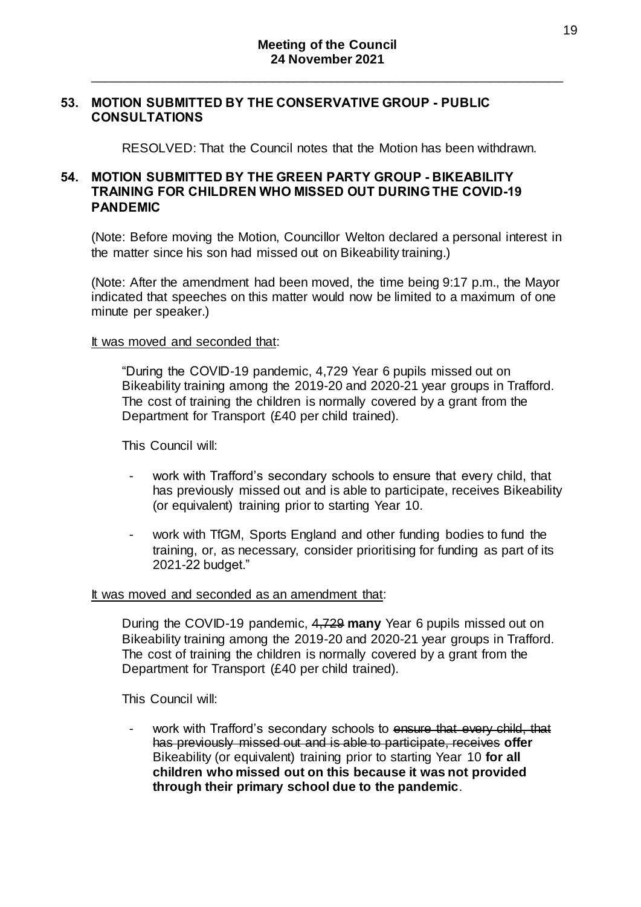#### **53. MOTION SUBMITTED BY THE CONSERVATIVE GROUP - PUBLIC CONSULTATIONS**

RESOLVED: That the Council notes that the Motion has been withdrawn.

## **54. MOTION SUBMITTED BY THE GREEN PARTY GROUP - BIKEABILITY TRAINING FOR CHILDREN WHO MISSED OUT DURING THE COVID-19 PANDEMIC**

(Note: Before moving the Motion, Councillor Welton declared a personal interest in the matter since his son had missed out on Bikeability training.)

(Note: After the amendment had been moved, the time being 9:17 p.m., the Mayor indicated that speeches on this matter would now be limited to a maximum of one minute per speaker.)

#### It was moved and seconded that:

"During the COVID-19 pandemic, 4,729 Year 6 pupils missed out on Bikeability training among the 2019-20 and 2020-21 year groups in Trafford. The cost of training the children is normally covered by a grant from the Department for Transport (£40 per child trained).

This Council will:

- work with Trafford's secondary schools to ensure that every child, that has previously missed out and is able to participate, receives Bikeability (or equivalent) training prior to starting Year 10.
- work with TfGM, Sports England and other funding bodies to fund the training, or, as necessary, consider prioritising for funding as part of its 2021-22 budget."

#### It was moved and seconded as an amendment that:

During the COVID-19 pandemic, 4,729 **many** Year 6 pupils missed out on Bikeability training among the 2019-20 and 2020-21 year groups in Trafford. The cost of training the children is normally covered by a grant from the Department for Transport (£40 per child trained).

This Council will:

work with Trafford's secondary schools to ensure that every child, that has previously missed out and is able to participate, receives **offer** Bikeability (or equivalent) training prior to starting Year 10 **for all children who missed out on this because it was not provided through their primary school due to the pandemic**.